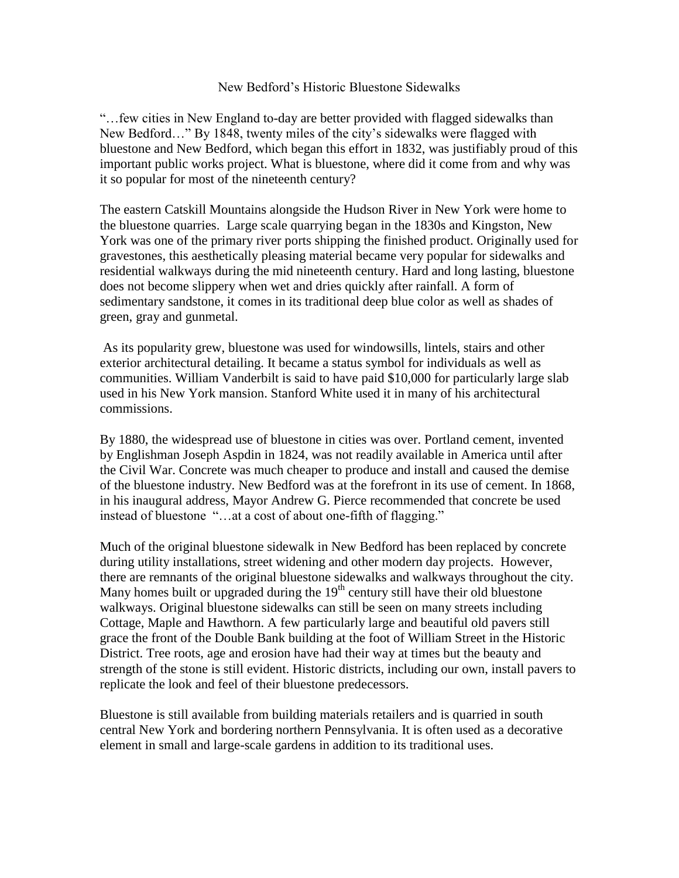## New Bedford's Historic Bluestone Sidewalks

"…few cities in New England to-day are better provided with flagged sidewalks than New Bedford…" By 1848, twenty miles of the city's sidewalks were flagged with bluestone and New Bedford, which began this effort in 1832, was justifiably proud of this important public works project. What is bluestone, where did it come from and why was it so popular for most of the nineteenth century?

The eastern Catskill Mountains alongside the Hudson River in New York were home to the bluestone quarries. Large scale quarrying began in the 1830s and Kingston, New York was one of the primary river ports shipping the finished product. Originally used for gravestones, this aesthetically pleasing material became very popular for sidewalks and residential walkways during the mid nineteenth century. Hard and long lasting, bluestone does not become slippery when wet and dries quickly after rainfall. A form of sedimentary sandstone, it comes in its traditional deep blue color as well as shades of green, gray and gunmetal.

As its popularity grew, bluestone was used for windowsills, lintels, stairs and other exterior architectural detailing. It became a status symbol for individuals as well as communities. William Vanderbilt is said to have paid \$10,000 for particularly large slab used in his New York mansion. Stanford White used it in many of his architectural commissions.

By 1880, the widespread use of bluestone in cities was over. Portland cement, invented by Englishman Joseph Aspdin in 1824, was not readily available in America until after the Civil War. Concrete was much cheaper to produce and install and caused the demise of the bluestone industry. New Bedford was at the forefront in its use of cement. In 1868, in his inaugural address, Mayor Andrew G. Pierce recommended that concrete be used instead of bluestone "…at a cost of about one-fifth of flagging."

Much of the original bluestone sidewalk in New Bedford has been replaced by concrete during utility installations, street widening and other modern day projects. However, there are remnants of the original bluestone sidewalks and walkways throughout the city. Many homes built or upgraded during the  $19<sup>th</sup>$  century still have their old bluestone walkways. Original bluestone sidewalks can still be seen on many streets including Cottage, Maple and Hawthorn. A few particularly large and beautiful old pavers still grace the front of the Double Bank building at the foot of William Street in the Historic District. Tree roots, age and erosion have had their way at times but the beauty and strength of the stone is still evident. Historic districts, including our own, install pavers to replicate the look and feel of their bluestone predecessors.

Bluestone is still available from building materials retailers and is quarried in south central New York and bordering northern Pennsylvania. It is often used as a decorative element in small and large-scale gardens in addition to its traditional uses.